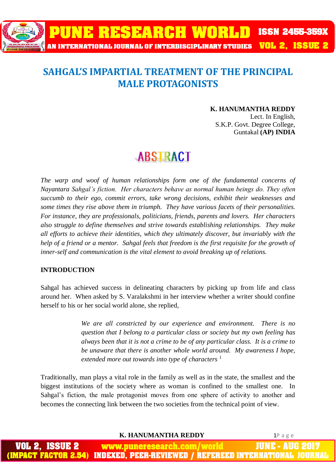

### **SAHGAL'S IMPARTIAL TREATMENT OF THE PRINCIPAL MALE PROTAGONISTS**

#### **K. HANUMANTHA REDDY**

Lect. In English, S.K.P. Govt. Degree College, Guntakal **(AP) INDIA**

## **ABSTRACT**

The warp and woof of human relationships form one of the fundamental concerns of *Nayantara Sahgal's fiction. Her characters behave as normal human beings do. They often succumb to their ego, commit errors, take wrong decisions, exhibit their weaknesses and some times they rise above them in triumph. They have various facets of their personalities. For instance, they are professionals, politicians, friends, parents and lovers. Her characters also struggle to define themselves and strive towards establishing relationships. They make all efforts to achieve their identities, which they ultimately discover, but invariably with the help of a friend or a mentor. Sahgal feels that freedom is the first requisite for the growth of inner-self and communication is the vital element to avoid breaking up of relations.* 

#### **INTRODUCTION**

Sahgal has achieved success in delineating characters by picking up from life and class around her. When asked by S. Varalakshmi in her interview whether a writer should confine herself to his or her social world alone, she replied,

> *We are all constricted by our experience and environment. There is no question that I belong to a particular class or society but my own feeling has always been that it is not a crime to be of any particular class. It is a crime to be unaware that there is another whole world around. My awareness I hope, extended more out towards into type of characters* <sup>1</sup>

Traditionally, man plays a vital role in the family as well as in the state, the smallest and the biggest institutions of the society where as woman is confined to the smallest one. In Sahgal's fiction, the male protagonist moves from one sphere of activity to another and becomes the connecting link between the two societies from the technical point of view.

**K. HANUMANTHA REDDY** 1P a g e

JUNE www.puneresearch.com/world INDEXED. PEER-REVIEWED / REFEREED INTERNATIO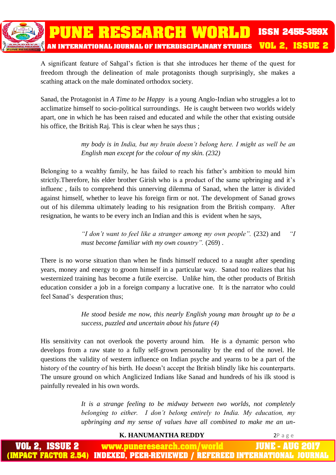A significant feature of Sahgal's fiction is that she introduces her theme of the quest for freedom through the delineation of male protagonists though surprisingly, she makes a scathing attack on the male dominated orthodox society.

Sanad, the Protagonist in *A Time to be Happy* is a young Anglo-Indian who struggles a lot to acclimatize himself to socio-political surroundings. He is caught between two worlds widely apart, one in which he has been raised and educated and while the other that existing outside his office, the British Raj. This is clear when he says thus ;

> *my body is in India, but my brain doesn't belong here. I might as well be an English man except for the colour of my skin. (232)*

Belonging to a wealthy family, he has failed to reach his father's ambition to mould him strictly.Therefore, his elder brother Girish who is a product of the same upbringing and it's influenc , fails to comprehend this unnerving dilemma of Sanad, when the latter is divided against himself, whether to leave his foreign firm or not. The development of Sanad grows out of his dilemma ultimately leading to his resignation from the British company. After resignation, he wants to be every inch an Indian and this is evident when he says,

> *"I don't want to feel like a stranger among my own people".* (232) and *"I must become familiar with my own country".* (269) .

There is no worse situation than when he finds himself reduced to a naught after spending years, money and energy to groom himself in a particular way. Sanad too realizes that his westernized training has become a futile exercise. Unlike him, the other products of British education consider a job in a foreign company a lucrative one. It is the narrator who could feel Sanad's desperation thus;

> *He stood beside me now, this nearly English young man brought up to be a success, puzzled and uncertain about his future (4)*

His sensitivity can not overlook the poverty around him. He is a dynamic person who develops from a raw state to a fully self-grown personality by the end of the novel. He questions the validity of western influence on Indian psyche and yearns to be a part of the history of the country of his birth. He doesn't accept the British blindly like his counterparts. The unsure ground on which Anglicized Indians like Sanad and hundreds of his ilk stood is painfully revealed in his own words.

> *It is a strange feeling to be midway between two worlds, not completely belonging to either. I don't belong entirely to India. My education, my upbringing and my sense of values have all combined to make me an un-*

> > **K. HANUMANTHA REDDY** 2P a g e

www.puneresearch.com/world IUNE -AUH INDEXED. PEER-REVIEWED / REFEREED INTERNATIONAL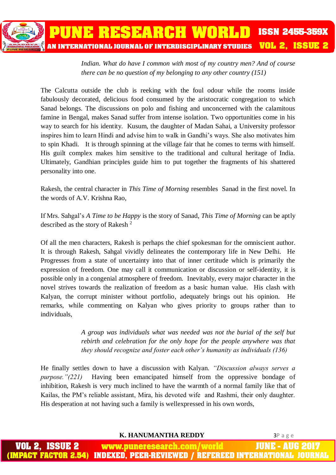*Indian. What do have I common with most of my country men? And of course there can be no question of my belonging to any other country (151)*

The Calcutta outside the club is reeking with the foul odour while the rooms inside fabulously decorated, delicious food consumed by the aristocratic congregation to which Sanad belongs. The discussions on polo and fishing and unconcerned with the calamitous famine in Bengal, makes Sanad suffer from intense isolation. Two opportunities come in his way to search for his identity. Kusum, the daughter of Madan Sahai, a University professor inspires him to learn Hindi and advise him to walk in Gandhi's ways. She also motivates him to spin Khadi. It is through spinning at the village fair that he comes to terms with himself. His guilt complex makes him sensitive to the traditional and cultural heritage of India. Ultimately, Gandhian principles guide him to put together the fragments of his shattered personality into one.

Rakesh, the central character in *This Time of Morning* resembles Sanad in the first novel. In the words of A.V. Krishna Rao,

If Mrs. Sahgal's *A Time to be Happy* is the story of Sanad, *This Time of Morning* can be aptly described as the story of Rakesh <sup>2</sup>

Of all the men characters, Rakesh is perhaps the chief spokesman for the omniscient author. It is through Rakesh, Sahgal vividly delineates the contemporary life in New Delhi. He Progresses from a state of uncertainty into that of inner certitude which is primarily the expression of freedom. One may call it communication or discussion or self-identity, it is possible only in a congenial atmosphere of freedom. Inevitably, every major character in the novel strives towards the realization of freedom as a basic human value. His clash with Kalyan, the corrupt minister without portfolio, adequately brings out his opinion. He remarks, while commenting on Kalyan who gives priority to groups rather than to individuals,

> *A group was individuals what was needed was not the burial of the self but rebirth and celebration for the only hope for the people anywhere was that they should recognize and foster each other's humanity as individuals (136)*

He finally settles down to have a discussion with Kalyan. *"Discussion always serves a purpose."(221)* Having been emancipated himself from the oppressive bondage of inhibition, Rakesh is very much inclined to have the warmth of a normal family like that of Kailas, the PM's reliable assistant, Mira, his devoted wife and Rashmi, their only daughter. His desperation at not having such a family is wellexpressed in his own words,

**K. HANUMANTHA REDDY** 3P a g e

IUNE ISSUE 2 www.puneresearch.com/world ACT FACTOR 2.54) INDEXED. PEER-REVIEWED / REFEREED INTERNATIONAL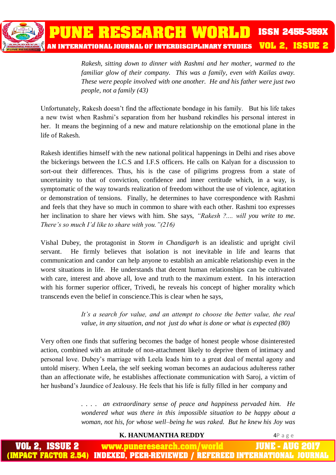

*Rakesh, sitting down to dinner with Rashmi and her mother, warmed to the familiar glow of their company. This was a family, even with Kailas away. These were people involved with one another. He and his father were just two people, not a family (43)*

Unfortunately, Rakesh doesn't find the affectionate bondage in his family. But his life takes a new twist when Rashmi's separation from her husband rekindles his personal interest in her. It means the beginning of a new and mature relationship on the emotional plane in the life of Rakesh.

Rakesh identifies himself with the new national political happenings in Delhi and rises above the bickerings between the I.C.S and I.F.S officers. He calls on Kalyan for a discussion to sort-out their differences. Thus, his is the case of piligrims progress from a state of uncertainity to that of conviction, confidence and inner certitude which, in a way, is symptomatic of the way towards realization of freedom without the use of violence, agitation or demonstration of tensions. Finally, he determines to have correspondence with Rashmi and feels that they have so much in common to share with each other. Rashmi too expresses her inclination to share her views with him. She says, *"Rakesh ?.... will you write to me. There's so much I'd like to share with you."(216)*

Vishal Dubey, the protagonist in *Storm in Chandigarh* is an idealistic and upright civil servant. He firmly believes that isolation is not inevitable in life and learns that communication and candor can help anyone to establish an amicable relationship even in the worst situations in life. He understands that decent human relationships can be cultivated with care, interest and above all, love and truth to the maximum extent. In his interaction with his former superior officer, Trivedi, he reveals his concept of higher morality which transcends even the belief in conscience.This is clear when he says,

> *It's a search for value, and an attempt to choose the better value, the real value, in any situation, and not just do what is done or what is expected (80)*

Very often one finds that suffering becomes the badge of honest people whose disinterested action, combined with an attitude of non-attachment likely to deprive them of intimacy and personal love. Dubey's marriage with Leela leads him to a great deal of mental agony and untold misery. When Leela, the self seeking woman becomes an audacious adulteress rather than an affectionate wife, he establishes affectionate communication with Saroj, a victim of her husband's Jaundice of Jealousy. He feels that his life is fully filled in her company and

> *. . . . an extraordinary sense of peace and happiness pervaded him. He wondered what was there in this impossible situation to be happy about a woman, not his, for whose well–being he was raked. But he knew his Joy was*

> > **K. HANUMANTHA REDDY** 4P a g e

www.puneresearch.com/world JUNE - AUG ACT FACTOR 2.54) INDEXED. PEER-REVIEWED / REFEREED INTERNATIONAL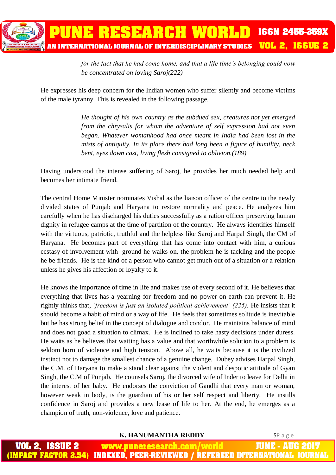

*for the fact that he had come home, and that a life time's belonging could now be concentrated on loving Saroj(222)*

He expresses his deep concern for the Indian women who suffer silently and become victims of the male tyranny. This is revealed in the following passage.

> *He thought of his own country as the subdued sex, creatures not yet emerged from the chrysalis for whom the adventure of self expression had not even began. Whatever womanhood had once meant in India had been lost in the mists of antiquity. In its place there had long been a figure of humility, neck bent, eyes down cast, living flesh consigned to oblivion.(189)*

Having understood the intense suffering of Saroj, he provides her much needed help and becomes her intimate friend.

The central Home Minister nominates Vishal as the liaison officer of the centre to the newly divided states of Punjab and Haryana to restore normality and peace. He analyzes him carefully when he has discharged his duties successfully as a ration officer preserving human dignity in refugee camps at the time of partition of the country. He always identifies himself with the virtuous, patriotic, truthful and the helpless like Saroj and Harpal Singh, the CM of Haryana. He becomes part of everything that has come into contact with him, a curious ecstasy of involvement with ground he walks on, the problem he is tackling and the people he be friends. He is the kind of a person who cannot get much out of a situation or a relation unless he gives his affection or loyalty to it.

He knows the importance of time in life and makes use of every second of it. He believes that everything that lives has a yearning for freedom and no power on earth can prevent it. He rightly thinks that, *'freedom is just an isolated political achievement' (225).* He insists that it should become a habit of mind or a way of life. He feels that sometimes solitude is inevitable but he has strong belief in the concept of dialogue and condor. He maintains balance of mind and does not goad a situation to climax. He is inclined to take hasty decisions under duress. He waits as he believes that waiting has a value and that worthwhile solution to a problem is seldom born of violence and high tension. Above all, he waits because it is the civilized instinct not to damage the smallest chance of a genuine change. Dubey advises Harpal Singh, the C.M. of Haryana to make a stand clear against the violent and despotic attitude of Gyan Singh, the C.M of Punjab. He counsels Saroj, the divorced wife of Inder to leave for Delhi in the interest of her baby. He endorses the conviction of Gandhi that every man or woman, however weak in body, is the guardian of his or her self respect and liberty. He instills confidence in Saroj and provides a new lease of life to her. At the end, he emerges as a champion of truth, non-violence, love and patience.

**K. HANUMANTHA REDDY** 5P a g e

JUNE -ISSUE 2 www.puneresearch.com/world ACT FACTOR 2.54) INDEXED. PEER-REVIEWED / REFEREED INTERNATIONAL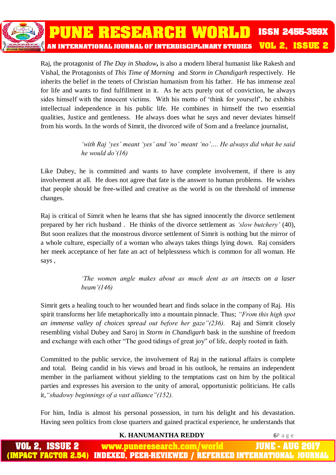Raj, the protagonist of *The Day in Shadow***,** is also a modern liberal humanist like Rakesh and Vishal, the Protagonists of *This Time of Morning* and *Storm in Chandigarh* respectively. He inherits the belief in the tenets of Christian humanism from his father. He has immense zeal for life and wants to find fulfillment in it. As he acts purely out of conviction, he always sides himself with the innocent victims. With his motto of 'think for yourself', he exhibits intellectual independence in his public life. He combines in himself the two essential qualities, Justice and gentleness. He always does what he says and never deviates himself from his words. In the words of Simrit, the divorced wife of Som and a freelance journalist,

PUNE RESEARCH WORLD

AN INTERNATIONAL JOURNAL OF INTERDISCIPLINARY STUDIES

*'with Raj 'yes' meant 'yes' and 'no' meant 'no'…. He always did what he said he would do'(16)*

Like Dubey, he is committed and wants to have complete involvement, if there is any involvement at all. He does not agree that fate is the answer to human problems. He wishes that people should be free-willed and creative as the world is on the threshold of immense changes.

Raj is critical of Simrit when he learns that she has signed innocently the divorce settlement prepared by her rich husband . He thinks of the divorce settlement as *'slow butchery'* (40), But soon realizes that the monstrous divorce settlement of Simrit is nothing but the mirror of a whole culture, especially of a woman who always takes things lying down. Raj considers her meek acceptance of her fate an act of helplessness which is common for all woman. He says ,

> *'The women angle makes about as much dent as an insects on a laser beam'(146)*

Simrit gets a healing touch to her wounded heart and finds solace in the company of Raj. His spirit transforms her life metaphorically into a mountain pinnacle. Thus; *"From this high spot an immense valley of choices spread out before her gaze"(236).* Raj and Simrit closely resembling vishal Dubey and Saroj in *Storm in Chandigarh* bask in the sunshine of freedom and exchange with each other "The good tidings of great joy" of life, deeply rooted in faith.

Committed to the public service, the involvement of Raj in the national affairs is complete and total. Being candid in his views and broad in his outlook, he remains an independent member in the parliament without yielding to the temptations cast on him by the political parties and expresses his aversion to the unity of amoral, opportunistic politicians. He calls it,*"shadowy beginnings of a vast alliance"(152).*

For him, India is almost his personal possession, in turn his delight and his devastation. Having seen politics from close quarters and gained practical experience, he understands that

**K. HANUMANTHA REDDY** 6P a g e

**ISSN 2455-359X** 

**VOL 2, ISSUE 2**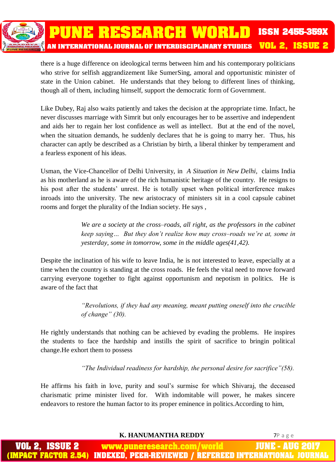

there is a huge difference on ideological terms between him and his contemporary politicians who strive for selfish aggrandizement like SumerSing, amoral and opportunistic minister of state in the Union cabinet. He understands that they belong to different lines of thinking, though all of them, including himself, support the democratic form of Government.

Like Dubey, Raj also waits patiently and takes the decision at the appropriate time. Infact, he never discusses marriage with Simrit but only encourages her to be assertive and independent and aids her to regain her lost confidence as well as intellect. But at the end of the novel, when the situation demands, he suddenly declares that he is going to marry her. Thus, his character can aptly be described as a Christian by birth, a liberal thinker by temperament and a fearless exponent of his ideas.

Usman, the Vice-Chancellor of Delhi University, in *A Situation in New Delhi,* claims India as his motherland as he is aware of the rich humanistic heritage of the country. He resigns to his post after the students' unrest. He is totally upset when political interference makes inroads into the university. The new aristocracy of ministers sit in a cool capsule cabinet rooms and forget the plurality of the Indian society. He says ,

> *We are a society at the cross–roads, all right, as the professors in the cabinet keep saying… But they don't realize how may cross–roads we're at, some in yesterday, some in tomorrow, some in the middle ages(41,42).*

Despite the inclination of his wife to leave India, he is not interested to leave, especially at a time when the country is standing at the cross roads. He feels the vital need to move forward carrying everyone together to fight against opportunism and nepotism in politics. He is aware of the fact that

> *"Revolutions, if they had any meaning, meant putting oneself into the crucible of change" (30).*

He rightly understands that nothing can be achieved by evading the problems. He inspires the students to face the hardship and instills the spirit of sacrifice to bringin political change.He exhort them to possess

*"The Individual readiness for hardship, the personal desire for sacrifice"(58).*

He affirms his faith in love, purity and soul's surmise for which Shivaraj, the deceased charismatic prime minister lived for. With indomitable will power, he makes sincere endeavors to restore the human factor to its proper eminence in politics.According to him,

**K. HANUMANTHA REDDY** 7P a g e

www.puneresearch.com/world INDEXED. PEER-REVIEWED / REFEREED INTERNATIO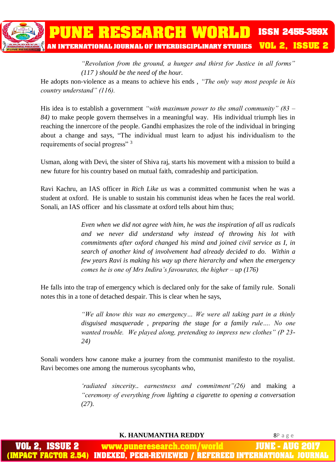

*"Revolution from the ground, a hunger and thirst for Justice in all forms" (117 ) should be the need of the hour.*

He adopts non-violence as a means to achieve his ends , *"The only way most people in his country understand" (116).*

His idea is to establish a government *"with maximum power to the small community" (83 – 84)* to make people govern themselves in a meaningful way. His individual triumph lies in reaching the innercore of the people. Gandhi emphasizes the role of the individual in bringing about a change and says, "The individual must learn to adjust his individualism to the requirements of social progress" <sup>3</sup>

Usman, along with Devi, the sister of Shiva raj, starts his movement with a mission to build a new future for his country based on mutual faith, comradeship and participation.

Ravi Kachru, an IAS officer in *Rich Like us* was a committed communist when he was a student at oxford. He is unable to sustain his communist ideas when he faces the real world. Sonali, an IAS officer and his classmate at oxford tells about him thus;

> *Even when we did not agree with him, he was the inspiration of all us radicals and we never did understand why instead of throwing his lot with commitments after oxford changed his mind and joined civil service as I, in search of another kind of involvement had already decided to do. Within a few years Ravi is making his way up there hierarchy and when the emergency comes he is one of Mrs Indira's favourates, the higher – up (176)*

He falls into the trap of emergency which is declared only for the sake of family rule. Sonali notes this in a tone of detached despair. This is clear when he says,

> *"We all know this was no emergency… We were all taking part in a thinly disguised masquerade , preparing the stage for a family rule…. No one wanted trouble. We played along, pretending to impress new clothes" (P 23- 24)*

Sonali wonders how canone make a journey from the communist manifesto to the royalist. Ravi becomes one among the numerous sycophants who,

> *'radiated sincerity.. earnestness and commitment"(26)* and making a *"ceremony of everything from lighting a cigarette to opening a conversation (27).*

> > **K. HANUMANTHA REDDY** 8P a g e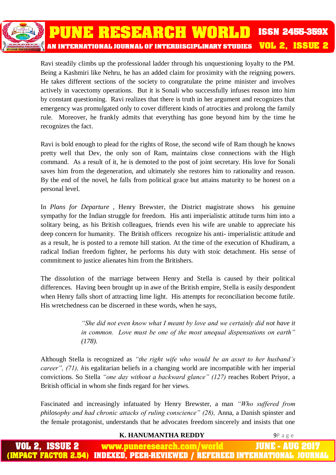Ravi steadily climbs up the professional ladder through his unquestioning loyalty to the PM. Being a Kashmiri like Nehru, he has an added claim for proximity with the reigning powers. He takes different sections of the society to congratulate the prime minister and involves actively in vacectomy operations. But it is Sonali who successfully infuses reason into him by constant questioning. Ravi realizes that there is truth in her argument and recognizes that emergency was promulgated only to cover different kinds of atrocities and prolong the family rule. Moreover, he frankly admits that everything has gone beyond him by the time he recognizes the fact.

Ravi is bold enough to plead for the rights of Rose, the second wife of Ram though he knows pretty well that Dev, the only son of Ram, maintains close connections with the High command. As a result of it, he is demoted to the post of joint secretary. His love for Sonali saves him from the degeneration, and ultimately she restores him to rationality and reason. By the end of the novel, he falls from political grace but attains maturity to be honest on a personal level.

In *Plans for Departure* , Henry Brewster, the District magistrate shows his genuine sympathy for the Indian struggle for freedom. His anti imperialistic attitude turns him into a solitary being, as his British colleagues, friends even his wife are unable to appreciate his deep concern for humanity. The British officers recognize his anti- imperialistic attitude and as a result, he is posted to a remote hill station. At the time of the execution of Khudiram, a radical Indian freedom fighter, he performs his duty with stoic detachment. His sense of commitment to justice alienates him from the Britishers.

The dissolution of the marriage between Henry and Stella is caused by their political differences. Having been brought up in awe of the British empire, Stella is easily despondent when Henry falls short of attracting lime light. His attempts for reconciliation become futile. His wretchedness can be discerned in these words, when he says,

> *"She did not even know what I meant by love and we certainly did not have it in common. Love must be one of the most unequal dispensations on earth" (178).*

Although Stella is recognized as *"the right wife who would be an asset to her husband's career", (71), h*is egalitarian beliefs in a changing world are incompatible with her imperial convictions. So Stella *"one day without a backward glance" (127)* reaches Robert Priyor, a British official in whom she finds regard for her views.

Fascinated and increasingly infatuated by Henry Brewster, a man *"Who suffered from philosophy and had chronic attacks of ruling conscience" (28),* Anna, a Danish spinster and the female protagonist, understands that he advocates freedom sincerely and insists that one

#### **K. HANUMANTHA REDDY** 9P a g e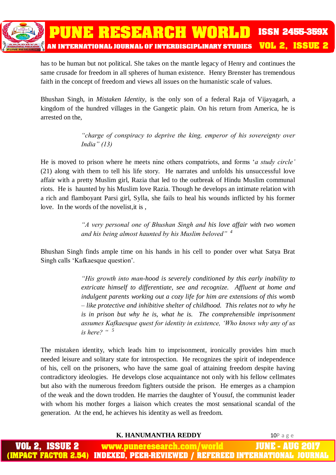

has to be human but not political. She takes on the mantle legacy of Henry and continues the same crusade for freedom in all spheres of human existence. Henry Brenster has tremendous faith in the concept of freedom and views all issues on the humanistic scale of values.

Bhushan Singh, in *Mistaken Identity,* is the only son of a federal Raja of Vijayagarh, a kingdom of the hundred villages in the Gangetic plain. On his return from America, he is arrested on the,

> *"charge of conspiracy to deprive the king, emperor of his sovereignty over India" (13)*

He is moved to prison where he meets nine others compatriots, and forms '*a study circle'* (21) along with them to tell his life story. He narrates and unfolds his unsuccessful love affair with a pretty Muslim girl, Razia that led to the outbreak of Hindu Muslim communal riots. He is haunted by his Muslim love Razia. Though he develops an intimate relation with a rich and flamboyant Parsi girl, Sylla, she fails to heal his wounds inflicted by his former love. In the words of the novelist,it is ,

> *"A very personal one of Bhushan Singh and his love affair with two women and his being almost haunted by his Muslim beloved" <sup>4</sup>*

Bhushan Singh finds ample time on his hands in his cell to ponder over what Satya Brat Singh calls 'Kafkaesque question'.

> *"His growth into man-hood is severely conditioned by this early inability to extricate himself to differentiate, see and recognize. Affluent at home and indulgent parents working out a cozy life for him are extensions of this womb – like protective and inhibitive shelter of childhood. This relates not to why he is in prison but why he is, what he is. The comprehensible imprisonment assumes Kafkaesque quest for identity in existence, 'Who knows why any of us is here? " <sup>5</sup>*

The mistaken identity, which leads him to imprisonment, ironically provides him much needed leisure and solitary state for introspection. He recognizes the spirit of independence of his, cell on the prisoners, who have the same goal of attaining freedom despite having contradictory ideologies. He develops close acquaintance not only with his fellow cellmates but also with the numerous freedom fighters outside the prison. He emerges as a champion of the weak and the down trodden. He marries the daughter of Yousuf, the communist leader with whom his mother forges a liaison which creates the most sensational scandal of the generation. At the end, he achieves his identity as well as freedom.

**K. HANUMANTHA REDDY** 10P a g e

| <b>VOL 2, ISSUE 2</b> | www.puneresearch.com/world | <b>JUNE - AUG 2017</b>                                                        |
|-----------------------|----------------------------|-------------------------------------------------------------------------------|
|                       |                            | (IMPACT FACTOR 2.54) INDEXED, PEER-REVIEWED / REFEREED INTERNATIONAL JOURNAL, |